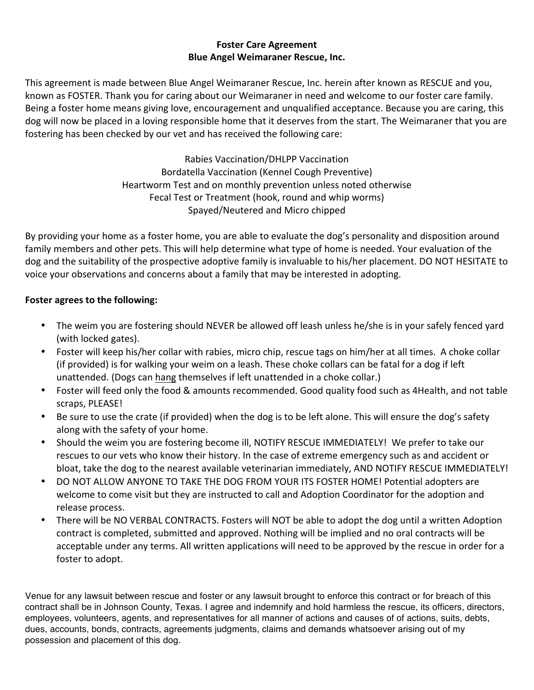## **Foster Care Agreement Blue Angel Weimaraner Rescue, Inc.**

This agreement is made between Blue Angel Weimaraner Rescue, Inc. herein after known as RESCUE and you, known as FOSTER. Thank you for caring about our Weimaraner in need and welcome to our foster care family. Being a foster home means giving love, encouragement and unqualified acceptance. Because you are caring, this dog will now be placed in a loving responsible home that it deserves from the start. The Weimaraner that you are fostering has been checked by our vet and has received the following care:

> Rabies Vaccination/DHLPP Vaccination Bordatella Vaccination (Kennel Cough Preventive) Heartworm Test and on monthly prevention unless noted otherwise Fecal Test or Treatment (hook, round and whip worms) Spayed/Neutered and Micro chipped

By providing your home as a foster home, you are able to evaluate the dog's personality and disposition around family members and other pets. This will help determine what type of home is needed. Your evaluation of the dog and the suitability of the prospective adoptive family is invaluable to his/her placement. DO NOT HESITATE to voice your observations and concerns about a family that may be interested in adopting.

## **Foster agrees to the following:**

- The weim you are fostering should NEVER be allowed off leash unless he/she is in your safely fenced yard (with locked gates).
- Foster will keep his/her collar with rabies, micro chip, rescue tags on him/her at all times. A choke collar (if provided) is for walking your weim on a leash. These choke collars can be fatal for a dog if left unattended. (Dogs can hang themselves if left unattended in a choke collar.)
- Foster will feed only the food & amounts recommended. Good quality food such as 4Health, and not table scraps, PLEASE!
- Be sure to use the crate (if provided) when the dog is to be left alone. This will ensure the dog's safety along with the safety of your home.
- Should the weim you are fostering become ill, NOTIFY RESCUE IMMEDIATELY! We prefer to take our rescues to our vets who know their history. In the case of extreme emergency such as and accident or bloat, take the dog to the nearest available veterinarian immediately, AND NOTIFY RESCUE IMMEDIATELY!
- DO NOT ALLOW ANYONE TO TAKE THE DOG FROM YOUR ITS FOSTER HOME! Potential adopters are welcome to come visit but they are instructed to call and Adoption Coordinator for the adoption and release process.
- There will be NO VERBAL CONTRACTS. Fosters will NOT be able to adopt the dog until a written Adoption contract is completed, submitted and approved. Nothing will be implied and no oral contracts will be acceptable under any terms. All written applications will need to be approved by the rescue in order for a foster to adopt.

Venue for any lawsuit between rescue and foster or any lawsuit brought to enforce this contract or for breach of this contract shall be in Johnson County, Texas. I agree and indemnify and hold harmless the rescue, its officers, directors, employees, volunteers, agents, and representatives for all manner of actions and causes of of actions, suits, debts, dues, accounts, bonds, contracts, agreements judgments, claims and demands whatsoever arising out of my possession and placement of this dog.